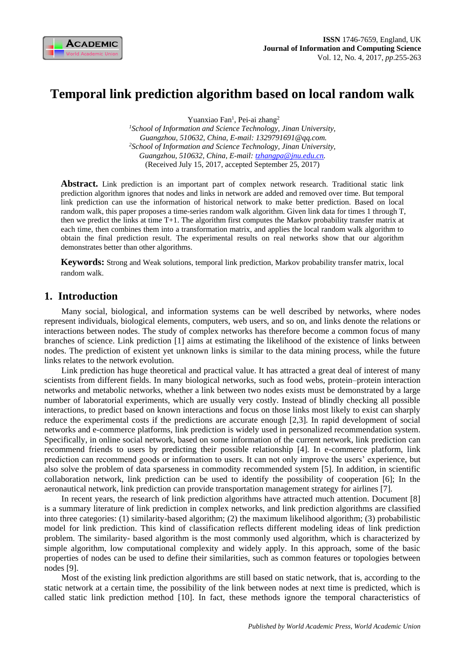

# **Temporal link prediction algorithm based on local random walk**

Yuanxiao Fan<sup>1</sup>, Pei-ai zhang<sup>2</sup>

*<sup>1</sup>School of Information and Science Technology, Jinan University, Guangzhou, 510632, China, E-mail: 1329791691@qq.com. <sup>2</sup>School of Information and Science Technology, Jinan University, Guangzhou, 510632, China, E-mail: [tzhangpa@jnu.edu.cn.](mailto:tzhangpa@jnu.edu.cn)* (Received July 15, 2017, accepted September 25, 2017)

Abstract. Link prediction is an important part of complex network research. Traditional static link prediction algorithm ignores that nodes and links in network are added and removed over time. But temporal link prediction can use the information of historical network to make better prediction. Based on local random walk, this paper proposes a time-series random walk algorithm. Given link data for times 1 through T, then we predict the links at time T+1. The algorithm first computes the Markov probability transfer matrix at each time, then combines them into a transformation matrix, and applies the local random walk algorithm to obtain the final prediction result. The experimental results on real networks show that our algorithm demonstrates better than other algorithms.

**Keywords:** Strong and Weak solutions, temporal link prediction, Markov probability transfer matrix, local random walk.

# **1. Introduction**

Many social, biological, and information systems can be well described by networks, where nodes represent individuals, biological elements, computers, web users, and so on, and links denote the relations or interactions between nodes. The study of complex networks has therefore become a common focus of many branches of science. Link prediction [1] aims at estimating the likelihood of the existence of links between nodes. The prediction of existent yet unknown links is similar to the data mining process, while the future links relates to the network evolution.

Link prediction has huge theoretical and practical value. It has attracted a great deal of interest of many scientists from different fields. In many biological networks, such as food webs, protein–protein interaction networks and metabolic networks, whether a link between two nodes exists must be demonstrated by a large number of laboratorial experiments, which are usually very costly. Instead of blindly checking all possible interactions, to predict based on known interactions and focus on those links most likely to exist can sharply reduce the experimental costs if the predictions are accurate enough [2,3]. In rapid development of social networks and e-commerce platforms, link prediction is widely used in personalized recommendation system. Specifically, in online social network, based on some information of the current network, link prediction can recommend friends to users by predicting their possible relationship [4]. In e-commerce platform, link prediction can recommend goods or information to users. It can not only improve the users' experience, but also solve the problem of data sparseness in commodity recommended system [5]. In addition, in scientific collaboration network, link prediction can be used to identify the possibility of cooperation [6]; In the aeronautical network, link prediction can provide transportation management strategy for airlines [7].

In recent years, the research of link prediction algorithms have attracted much attention. Document [8] is a summary literature of link prediction in complex networks, and link prediction algorithms are classified into three categories: (1) similarity-based algorithm; (2) the maximum likelihood algorithm; (3) probabilistic model for link prediction. This kind of classification reflects different modeling ideas of link prediction problem. The similarity- based algorithm is the most commonly used algorithm, which is characterized by simple algorithm, low computational complexity and widely apply. In this approach, some of the basic properties of nodes can be used to define their similarities, such as common features or topologies between nodes [9].

Most of the existing link prediction algorithms are still based on static network, that is, according to the static network at a certain time, the possibility of the link between nodes at next time is predicted, which is called static link prediction method [10]. In fact, these methods ignore the temporal characteristics of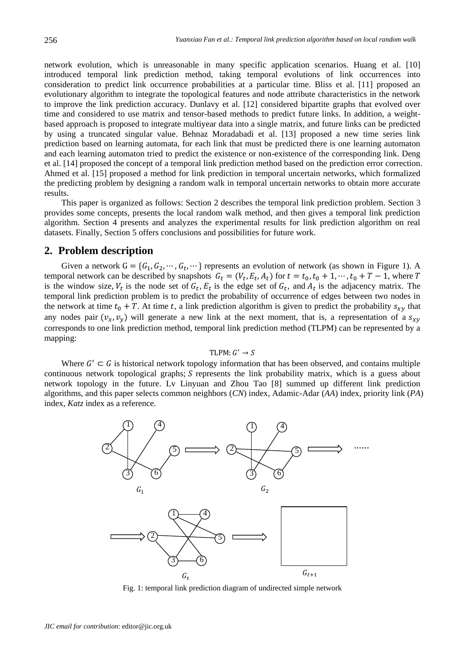network evolution, which is unreasonable in many specific application scenarios. Huang et al. [10] introduced temporal link prediction method, taking temporal evolutions of link occurrences into consideration to predict link occurrence probabilities at a particular time. Bliss et al. [11] proposed an evolutionary algorithm to integrate the topological features and node attribute characteristics in the network to improve the link prediction accuracy. Dunlavy et al. [12] considered bipartite graphs that evolved over time and considered to use matrix and tensor-based methods to predict future links. In addition, a weightbased approach is proposed to integrate multiyear data into a single matrix, and future links can be predicted by using a truncated singular value. Behnaz Moradabadi et al. [13] proposed a new time series link prediction based on learning automata, for each link that must be predicted there is one learning automaton and each learning automaton tried to predict the existence or non-existence of the corresponding link. Deng et al. [14] proposed the concept of a temporal link prediction method based on the prediction error correction. Ahmed et al. [15] proposed a method for link prediction in temporal uncertain networks, which formalized the predicting problem by designing a random walk in temporal uncertain networks to obtain more accurate results.

This paper is organized as follows: Section 2 describes the temporal link prediction problem. Section 3 provides some concepts, presents the local random walk method, and then gives a temporal link prediction algorithm. Section 4 presents and analyzes the experimental results for link prediction algorithm on real datasets. Finally, Section 5 offers conclusions and possibilities for future work.

## **2. Problem description**

Given a network  $G = \{G_1, G_2, \dots, G_t, \dots\}$  represents an evolution of network (as shown in Figure 1). A temporal network can be described by snapshots  $G_t = (V_t, E_t, A_t)$  for  $t = t_0, t_0 + 1, \dots, t_0 + T - 1$ , where T is the window size,  $V_t$  is the node set of  $G_t$ ,  $E_t$  is the edge set of  $G_t$ , and  $A_t$  is the adjacency matrix. The temporal link prediction problem is to predict the probability of occurrence of edges between two nodes in the network at time  $t_0 + T$ . At time t, a link prediction algorithm is given to predict the probability  $s_{xy}$  that any nodes pair  $(v_x, v_y)$  will generate a new link at the next moment, that is, a representation of a  $s_{xy}$ corresponds to one link prediction method, temporal link prediction method (TLPM) can be represented by a mapping:

#### $TLPM: G' \rightarrow S$

Where  $G' \subset G$  is historical network topology information that has been observed, and contains multiple continuous network topological graphs;  $S$  represents the link probability matrix, which is a guess about network topology in the future. Lv Linyuan and Zhou Tao [8] summed up different link prediction algorithms, and this paper selects common neighbors (*CN*) index, Adamic-Adar (*AA*) index, priority link (*PA*) index, *Katz* index as a reference.



Fig. 1: temporal link prediction diagram of undirected simple network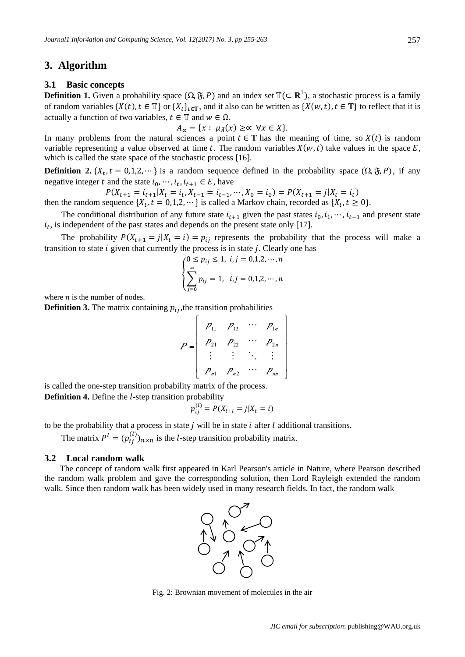## **3. Algorithm**

### **3.1 Basic concepts**

**Definition 1.** Given a probability space  $(\Omega, \mathfrak{F}, P)$  and an index set  $\mathbb{T}(\subset \mathbb{R}^1)$ , a stochastic process is a family of random variables  $\{X(t), t \in \mathbb{T}\}\$  or  $\{X_t\}_{t \in \mathbb{T}}$ , and it also can be written as  $\{X(w, t), t \in \mathbb{T}\}\$  to reflect that it is actually a function of two variables,  $t \in \mathbb{T}$  and  $w \in \Omega$ .

$$
A_{\alpha} = \{x : \mu_{\tilde{A}}(x) \geq \alpha \ \forall x \in X\}.
$$

In many problems from the natural sciences a point  $t \in \mathbb{T}$  has the meaning of time, so  $X(t)$  is random variable representing a value observed at time t. The random variables  $X(w, t)$  take values in the space  $E$ , which is called the state space of the stochastic process [16].

**Definition 2.**  $\{X_t, t = 0, 1, 2, \dots\}$  is a random sequence defined in the probability space  $(\Omega, \mathfrak{F}, P)$ , if any negative integer t and the state  $i_0, \dots, i_t, i_{t+1} \in E$ , have

 $P(X_{t+1} = i_{t+1} | X_t = i_t, X_{t-1} = i_{t-1}, \dots, X_0 = i_0) = P(X_{t+1} = j | X_t = i_t)$ then the random sequence  $\{X_t, t = 0, 1, 2, \dots\}$  is called a Markov chain, recorded as  $\{X_t, t \ge 0\}$ .

The conditional distribution of any future state  $i_{t+1}$  given the past states  $i_0, i_1, \dots, i_{t-1}$  and present state  $i_t$ , is independent of the past states and depends on the present state only [17].

The probability  $P(X_{t+1} = j | X_t = i) = p_{ij}$  represents the probability that the process will make a transition to state  $i$  given that currently the process is in state  $j$ . Clearly one has

$$
\begin{cases} 0 \le p_{ij} \le 1, \ i,j = 0,1,2,\cdots,n \\ \sum_{j=0}^{\infty} p_{ij} = 1, \ i,j = 0,1,2,\cdots,n \end{cases}
$$

where  $n$  is the number of nodes.

**Definition 3.** The matrix containing  $p_{ij}$ , the transition probabilities

$$
P = \begin{bmatrix} P_{11} & P_{12} & \cdots & P_{1n} \\ P_{21} & P_{22} & \cdots & P_{2n} \\ \vdots & \vdots & \ddots & \vdots \\ P_{n1} & P_{n2} & \cdots & P_{nn} \end{bmatrix}
$$

is called the one-step transition probability matrix of the process. **Definition 4.** Define the *l*-step transition probability

$$
p_{ij}^{(l)} = P(X_{t+l} = j | X_t = i)
$$

to be the probability that a process in state  $j$  will be in state  $i$  after  $l$  additional transitions.

The matrix  $P^l = (p_{ij}^{(l)})_{n \times n}$  is the *l*-step transition probability matrix.

## **3.2 Local random walk**

The concept of random walk first appeared in Karl Pearson's article in Nature, where Pearson described the random walk problem and gave the corresponding solution, then Lord Rayleigh extended the random walk. Since then random walk has been widely used in many research fields. In fact, the random walk



Fig. 2: Brownian movement of molecules in the air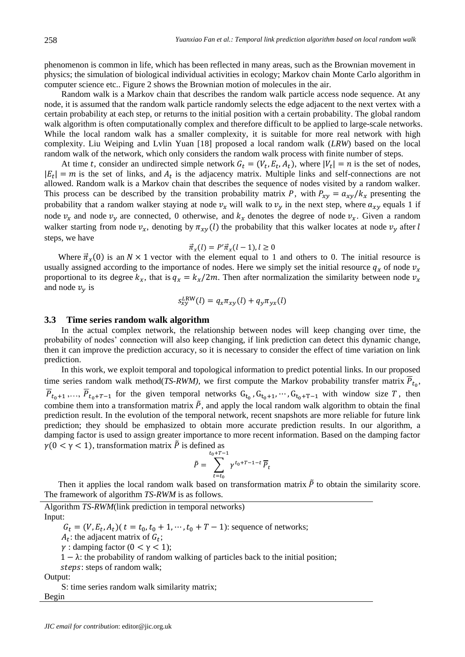phenomenon is common in life, which has been reflected in many areas, such as the Brownian movement in physics; the simulation of biological individual activities in ecology; Markov chain Monte Carlo algorithm in computer science etc.. Figure 2 shows the Brownian motion of molecules in the air.

Random walk is a Markov chain that describes the random walk particle access node sequence. At any node, it is assumed that the random walk particle randomly selects the edge adjacent to the next vertex with a certain probability at each step, or returns to the initial position with a certain probability. The global random walk algorithm is often computationally complex and therefore difficult to be applied to large-scale networks. While the local random walk has a smaller complexity, it is suitable for more real network with high complexity. Liu Weiping and Lvlin Yuan [18] proposed a local random walk (*LRW*) based on the local random walk of the network, which only considers the random walk process with finite number of steps.

At time t, consider an undirected simple network  $G_t = (V_t, E_t, A_t)$ , where  $|V_t| = n$  is the set of nodes,  $|E_t| = m$  is the set of links, and  $A_t$  is the adjacency matrix. Multiple links and self-connections are not allowed. Random walk is a Markov chain that describes the sequence of nodes visited by a random walker. This process can be described by the transition probability matrix P, with  $P_{xy} = a_{xy}/k_x$  presenting the probability that a random walker staying at node  $v_x$  will walk to  $v_y$  in the next step, where  $a_{xy}$  equals 1 if node  $v_x$  and node  $v_y$  are connected, 0 otherwise, and  $k_x$  denotes the degree of node  $v_x$ . Given a random walker starting from node  $v_x$ , denoting by  $\pi_{xy}(l)$  the probability that this walker locates at node  $v_y$  after l steps, we have

$$
\vec{\pi}_x(l) = P'\vec{\pi}_x(l-1), l \ge 0
$$

Where  $\vec{\pi}_x(0)$  is an  $N \times 1$  vector with the element equal to 1 and others to 0. The initial resource is usually assigned according to the importance of nodes. Here we simply set the initial resource  $q_x$  of node  $v_x$ proportional to its degree  $k_x$ , that is  $q_x = k_x/2m$ . Then after normalization the similarity between node  $v_x$ and node  $v_y$  is

$$
s_{xy}^{LRW}(l) = q_x \pi_{xy}(l) + q_y \pi_{yx}(l)
$$

## **3.3 Time series random walk algorithm**

In the actual complex network, the relationship between nodes will keep changing over time, the probability of nodes' connection will also keep changing, if link prediction can detect this dynamic change, then it can improve the prediction accuracy, so it is necessary to consider the effect of time variation on link prediction.

In this work, we exploit temporal and topological information to predict potential links. In our proposed time series random walk method(*TS-RWM*), we first compute the Markov probability transfer matrix  $P_{t_0}$ ,  $P_{t_0+1},..., P_{t_0+T-1}$  for the given temporal networks  $G_{t_0}, G_{t_0+1},..., G_{t_0+T-1}$  with window size T, then combine them into a transformation matrix  $\tilde{P}$ , and apply the local random walk algorithm to obtain the final prediction result. In the evolution of the temporal network, recent snapshots are more reliable for future link prediction; they should be emphasized to obtain more accurate prediction results. In our algorithm, a damping factor is used to assign greater importance to more recent information. Based on the damping factor  $\gamma$ (0 <  $\gamma$  < 1), transformation matrix  $\tilde{P}$  is defined as

$$
\tilde{P} = \sum_{t=t_0}^{t_0+T-1} \gamma^{t_0+T-1-t} \, \overline{P}_t
$$

Then it applies the local random walk based on transformation matrix  $\tilde{P}$  to obtain the similarity score. The framework of algorithm *TS-RWM* is as follows.

Algorithm *TS-RWM*(link prediction in temporal networks) Input:

 $G_t = (V, E_t, A_t)$  ( $t = t_0, t_0 + 1, \dots, t_0 + T - 1$ ): sequence of networks;

 $A_t$ : the adjacent matrix of  $G_t$ ;

 $\gamma$ : damping factor (0 <  $\gamma$  < 1);

 $1 - \lambda$ : the probability of random walking of particles back to the initial position;

steps: steps of random walk;

Output:

S: time series random walk similarity matrix; Begin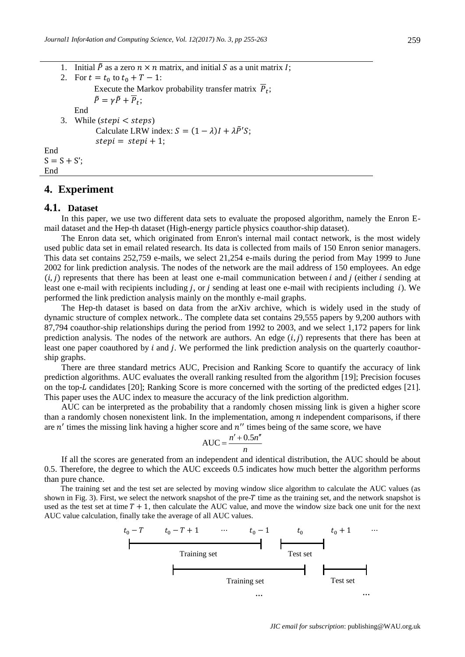1. Initial  $\tilde{P}$  as a zero  $n \times n$  matrix, and initial S as a unit matrix I: 2. For  $t = t_0$  to  $t_0 + T - 1$ : Execute the Markov probability transfer matrix  $P_t$ ;  $\tilde{P} = \gamma \tilde{P} + \overline{P}_t;$ End 3. While  $(\text{stepi} < \text{steps})$ Calculate LRW index:  $S = (1 - \lambda)I + \lambda \tilde{P}'S$ ;  $stepi = stepi + 1;$ End  $S = S + S'$ ;

## **4. Experiment**

## **4.1. Dataset**

End

In this paper, we use two different data sets to evaluate the proposed algorithm, namely the Enron Email dataset and the Hep-th dataset (High-energy particle physics coauthor-ship dataset).

The Enron data set, which originated from Enron's internal mail contact network, is the most widely used public data set in email related research. Its data is collected from mails of 150 Enron senior managers. This data set contains 252,759 e-mails, we select 21,254 e-mails during the period from May 1999 to June 2002 for link prediction analysis. The nodes of the network are the mail address of 150 employees. An edge  $(i, j)$  represents that there has been at least one e-mail communication between *i* and *j* (either *i* sending at least one e-mail with recipients including  $j$ , or  $j$  sending at least one e-mail with recipients including  $i$ ). We performed the link prediction analysis mainly on the monthly e-mail graphs.

The Hep-th dataset is based on data from the arXiv archive, which is widely used in the study of dynamic structure of complex network.. The complete data set contains 29,555 papers by 9,200 authors with 87,794 coauthor-ship relationships during the period from 1992 to 2003, and we select 1,172 papers for link prediction analysis. The nodes of the network are authors. An edge  $(i, j)$  represents that there has been at least one paper coauthored by  $i$  and  $j$ . We performed the link prediction analysis on the quarterly coauthorship graphs.

There are three standard metrics AUC, Precision and Ranking Score to quantify the accuracy of link prediction algorithms. AUC evaluates the overall ranking resulted from the algorithm [19]; Precision focuses on the top- $L$  candidates [20]; Ranking Score is more concerned with the sorting of the predicted edges [21]. This paper uses the AUC index to measure the accuracy of the link prediction algorithm.

AUC can be interpreted as the probability that a randomly chosen missing link is given a higher score than a randomly chosen nonexistent link. In the implementation, among  $n$  independent comparisons, if there are  $n'$  times the missing link having a higher score and  $n''$  times being of the same score, we have

$$
AUC = \frac{n' + 0.5n''}{n}
$$

If all the scores are generated from an independent and identical distribution, the AUC should be about 0.5. Therefore, the degree to which the AUC exceeds 0.5 indicates how much better the algorithm performs than pure chance.

The training set and the test set are selected by moving window slice algorithm to calculate the AUC values (as shown in Fig. 3). First, we select the network snapshot of the pre- $T$  time as the training set, and the network snapshot is used as the test set at time  $T + 1$ , then calculate the AUC value, and move the window size back one unit for the next AUC value calculation, finally take the average of all AUC values.

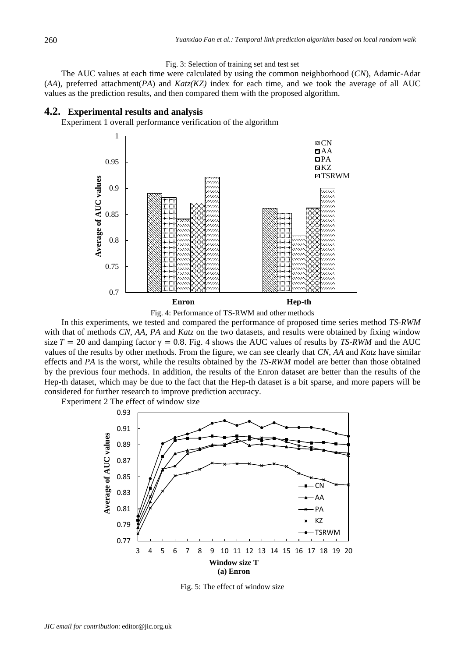#### Fig. 3: Selection of training set and test set

The AUC values at each time were calculated by using the common neighborhood (*CN*), Adamic-Adar (*AA*), preferred attachment(*PA*) and *Katz(KZ)* index for each time, and we took the average of all AUC values as the prediction results, and then compared them with the proposed algorithm.

### **4.2. Experimental results and analysis**

Experiment 1 overall performance verification of the algorithm



Fig. 4: Performance of TS-RWM and other methods

In this experiments, we tested and compared the performance of proposed time series method *TS-RWM* with that of methods *CN*, *AA*, *PA* and *Katz* on the two datasets, and results were obtained by fixing window size  $T = 20$  and damping factor  $\gamma = 0.8$ . Fig. 4 shows the AUC values of results by *TS-RWM* and the AUC values of the results by other methods. From the figure, we can see clearly that *CN*, *AA* and *Katz* have similar effects and *PA* is the worst, while the results obtained by the *TS-RWM* model are better than those obtained by the previous four methods. In addition, the results of the Enron dataset are better than the results of the Hep-th dataset, which may be due to the fact that the Hep-th dataset is a bit sparse, and more papers will be considered for further research to improve prediction accuracy.

Experiment 2 The effect of window size



Fig. 5: The effect of window size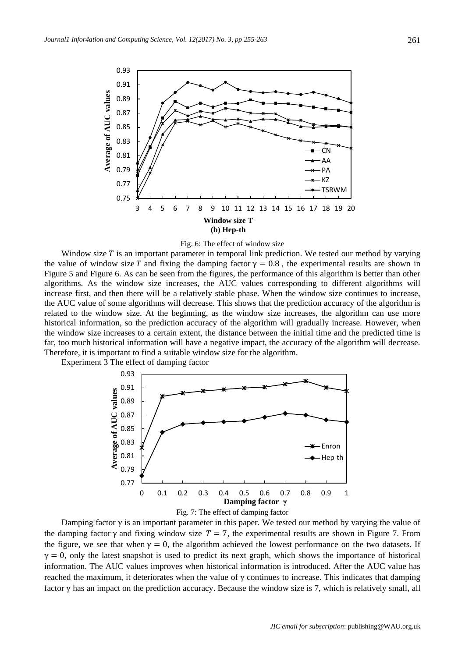



Window size  $T$  is an important parameter in temporal link prediction. We tested our method by varying the value of window size T and fixing the damping factor  $\gamma = 0.8$ , the experimental results are shown in Figure 5 and Figure 6. As can be seen from the figures, the performance of this algorithm is better than other algorithms. As the window size increases, the AUC values corresponding to different algorithms will increase first, and then there will be a relatively stable phase. When the window size continues to increase, the AUC value of some algorithms will decrease. This shows that the prediction accuracy of the algorithm is related to the window size. At the beginning, as the window size increases, the algorithm can use more historical information, so the prediction accuracy of the algorithm will gradually increase. However, when the window size increases to a certain extent, the distance between the initial time and the predicted time is far, too much historical information will have a negative impact, the accuracy of the algorithm will decrease. Therefore, it is important to find a suitable window size for the algorithm.

Experiment 3 The effect of damping factor



Damping factor  $\gamma$  is an important parameter in this paper. We tested our method by varying the value of the damping factor  $\gamma$  and fixing window size  $T = 7$ , the experimental results are shown in Figure 7. From the figure, we see that when  $y = 0$ , the algorithm achieved the lowest performance on the two datasets. If  $\gamma = 0$ , only the latest snapshot is used to predict its next graph, which shows the importance of historical information. The AUC values improves when historical information is introduced. After the AUC value has reached the maximum, it deteriorates when the value of  $\gamma$  continues to increase. This indicates that damping factor  $\gamma$  has an impact on the prediction accuracy. Because the window size is 7, which is relatively small, all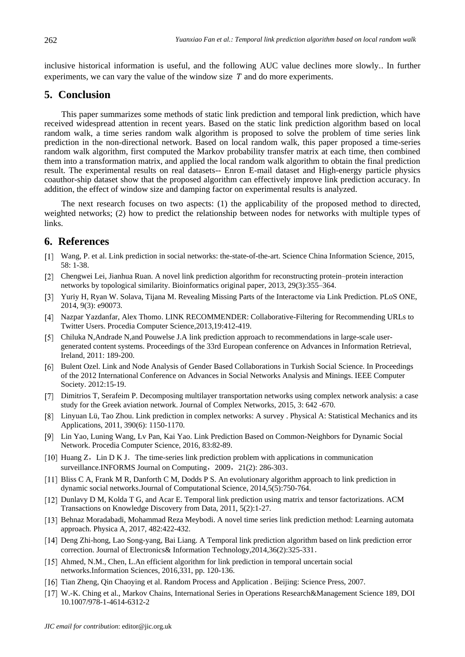inclusive historical information is useful, and the following AUC value declines more slowly.. In further experiments, we can vary the value of the window size  $T$  and do more experiments.

## **5. Conclusion**

This paper summarizes some methods of static link prediction and temporal link prediction, which have received widespread attention in recent years. Based on the static link prediction algorithm based on local random walk, a time series random walk algorithm is proposed to solve the problem of time series link prediction in the non-directional network. Based on local random walk, this paper proposed a time-series random walk algorithm, first computed the Markov probability transfer matrix at each time, then combined them into a transformation matrix, and applied the local random walk algorithm to obtain the final prediction result. The experimental results on real datasets-- Enron E-mail dataset and High-energy particle physics coauthor-ship dataset show that the proposed algorithm can effectively improve link prediction accuracy. In addition, the effect of window size and damping factor on experimental results is analyzed.

The next research focuses on two aspects: (1) the applicability of the proposed method to directed, weighted networks; (2) how to predict the relationship between nodes for networks with multiple types of links.

## **6. References**

- Wang, P. et al. Link prediction in social networks: the-state-of-the-art. Science China Information Science, 2015, 58: 1-38.
- [2] Chengwei Lei, Jianhua Ruan. A novel link prediction algorithm for reconstructing protein–protein interaction networks by topological similarity. Bioinformatics original paper, 2013, 29(3):355–364.
- Yuriy H, Ryan W. Solava, Tijana M. Revealing Missing Parts of the Interactome via Link Prediction. PLoS ONE, 2014, 9(3): e90073.
- Nazpar Yazdanfar, Alex Thomo. LINK RECOMMENDER: Collaborative-Filtering for Recommending URLs to Twitter Users. Procedia Computer Science,2013,19:412-419.
- [5] Chiluka N,Andrade N,and Pouwelse J.A link prediction approach to recommendations in large-scale usergenerated content systems. Proceedings of the 33rd European conference on Advances in Information Retrieval, Ireland, 2011: 189-200.
- [6] Bulent Ozel. Link and Node Analysis of Gender Based Collaborations in Turkish Social Science. In Proceedings of the 2012 International Conference on Advances in Social Networks Analysis and Minings. IEEE Computer Society. 2012:15-19.
- Dimitrios T, Serafeim P. Decomposing multilayer transportation networks using complex network analysis: a case study for the Greek aviation network. Journal of Complex Networks, 2015, 3: 642 -670.
- Linyuan Lü, Tao Zhou. Link prediction in complex networks: A survey . Physical A: Statistical Mechanics and its Applications, 2011, 390(6): 1150-1170.
- Lin Yao, Luning Wang, Lv Pan, Kai Yao. Link Prediction Based on Common-Neighbors for Dynamic Social Network. Procedia Computer Science, 2016, 83:82-89.
- $[10]$  Huang Z, Lin D K J. The time-series link prediction problem with applications in communication surveillance.INFORMS Journal on Computing, 2009, 21(2): 286-303.
- Bliss C A, Frank M R, Danforth C M, Dodds P S. An evolutionary algorithm approach to link prediction in dynamic social networks.Journal of Computational Science, 2014,5(5):750-764.
- [12] Dunlavy D M, Kolda T G, and Acar E. Temporal link prediction using matrix and tensor factorizations. ACM Transactions on Knowledge Discovery from Data, 2011, 5(2):1-27.
- [13] Behnaz Moradabadi, Mohammad Reza Meybodi. A novel time series link prediction method: Learning automata approach. Physica A, 2017, 482:422-432.
- Deng Zhi-hong, Lao Song-yang, Bai Liang. A Temporal link prediction algorithm based on link prediction error correction. Journal of Electronics& Information Technology,2014,36(2):325-331.
- [15] Ahmed, N.M., Chen, L.An efficient algorithm for link prediction in temporal uncertain social networks.Information Sciences, 2016,331, pp. 120-136.
- Tian Zheng, Qin Chaoying et al. Random Process and Application . Beijing: Science Press, 2007.
- [17] W.-K. Ching et al., Markov Chains, International Series in Operations Research&Management Science 189, DOI 10.1007/978-1-4614-6312-2